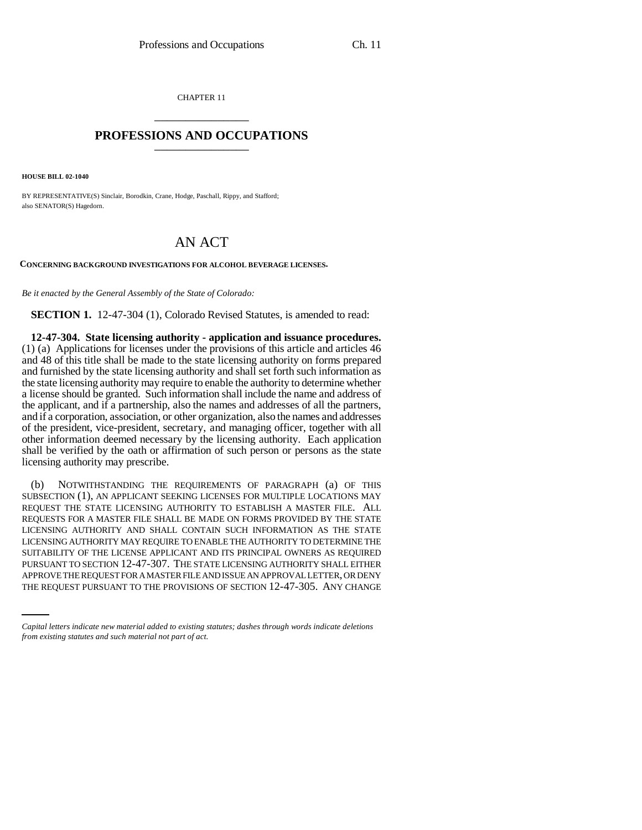CHAPTER 11 \_\_\_\_\_\_\_\_\_\_\_\_\_\_\_

## **PROFESSIONS AND OCCUPATIONS** \_\_\_\_\_\_\_\_\_\_\_\_\_\_\_

**HOUSE BILL 02-1040**

BY REPRESENTATIVE(S) Sinclair, Borodkin, Crane, Hodge, Paschall, Rippy, and Stafford; also SENATOR(S) Hagedorn.

## AN ACT

**CONCERNING BACKGROUND INVESTIGATIONS FOR ALCOHOL BEVERAGE LICENSES.**

*Be it enacted by the General Assembly of the State of Colorado:*

**SECTION 1.** 12-47-304 (1), Colorado Revised Statutes, is amended to read:

**12-47-304. State licensing authority - application and issuance procedures.** (1) (a) Applications for licenses under the provisions of this article and articles 46 and 48 of this title shall be made to the state licensing authority on forms prepared and furnished by the state licensing authority and shall set forth such information as the state licensing authority may require to enable the authority to determine whether a license should be granted. Such information shall include the name and address of the applicant, and if a partnership, also the names and addresses of all the partners, and if a corporation, association, or other organization, also the names and addresses of the president, vice-president, secretary, and managing officer, together with all other information deemed necessary by the licensing authority. Each application shall be verified by the oath or affirmation of such person or persons as the state licensing authority may prescribe.

PURSUANT TO SECTION 12-47-307. THE STATE LICENSING AUTHORITY SHALL EITHER (b) NOTWITHSTANDING THE REQUIREMENTS OF PARAGRAPH (a) OF THIS SUBSECTION (1), AN APPLICANT SEEKING LICENSES FOR MULTIPLE LOCATIONS MAY REQUEST THE STATE LICENSING AUTHORITY TO ESTABLISH A MASTER FILE. ALL REQUESTS FOR A MASTER FILE SHALL BE MADE ON FORMS PROVIDED BY THE STATE LICENSING AUTHORITY AND SHALL CONTAIN SUCH INFORMATION AS THE STATE LICENSING AUTHORITY MAY REQUIRE TO ENABLE THE AUTHORITY TO DETERMINE THE SUITABILITY OF THE LICENSE APPLICANT AND ITS PRINCIPAL OWNERS AS REQUIRED APPROVE THE REQUEST FOR A MASTER FILE AND ISSUE AN APPROVAL LETTER, OR DENY THE REQUEST PURSUANT TO THE PROVISIONS OF SECTION 12-47-305. ANY CHANGE

*Capital letters indicate new material added to existing statutes; dashes through words indicate deletions from existing statutes and such material not part of act.*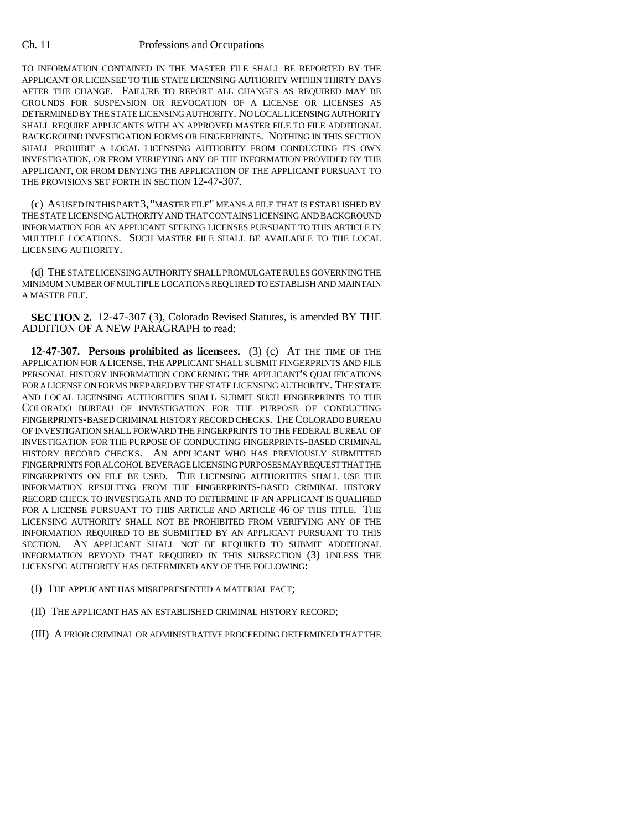## Ch. 11 Professions and Occupations

TO INFORMATION CONTAINED IN THE MASTER FILE SHALL BE REPORTED BY THE APPLICANT OR LICENSEE TO THE STATE LICENSING AUTHORITY WITHIN THIRTY DAYS AFTER THE CHANGE. FAILURE TO REPORT ALL CHANGES AS REQUIRED MAY BE GROUNDS FOR SUSPENSION OR REVOCATION OF A LICENSE OR LICENSES AS DETERMINED BY THE STATE LICENSING AUTHORITY. NO LOCAL LICENSING AUTHORITY SHALL REQUIRE APPLICANTS WITH AN APPROVED MASTER FILE TO FILE ADDITIONAL BACKGROUND INVESTIGATION FORMS OR FINGERPRINTS. NOTHING IN THIS SECTION SHALL PROHIBIT A LOCAL LICENSING AUTHORITY FROM CONDUCTING ITS OWN INVESTIGATION, OR FROM VERIFYING ANY OF THE INFORMATION PROVIDED BY THE APPLICANT, OR FROM DENYING THE APPLICATION OF THE APPLICANT PURSUANT TO THE PROVISIONS SET FORTH IN SECTION 12-47-307.

(c) AS USED IN THIS PART 3, "MASTER FILE" MEANS A FILE THAT IS ESTABLISHED BY THE STATE LICENSING AUTHORITY AND THAT CONTAINS LICENSING AND BACKGROUND INFORMATION FOR AN APPLICANT SEEKING LICENSES PURSUANT TO THIS ARTICLE IN MULTIPLE LOCATIONS. SUCH MASTER FILE SHALL BE AVAILABLE TO THE LOCAL LICENSING AUTHORITY.

(d) THE STATE LICENSING AUTHORITY SHALL PROMULGATE RULES GOVERNING THE MINIMUM NUMBER OF MULTIPLE LOCATIONS REQUIRED TO ESTABLISH AND MAINTAIN A MASTER FILE.

**SECTION 2.** 12-47-307 (3), Colorado Revised Statutes, is amended BY THE ADDITION OF A NEW PARAGRAPH to read:

**12-47-307. Persons prohibited as licensees.** (3) (c) AT THE TIME OF THE APPLICATION FOR A LICENSE, THE APPLICANT SHALL SUBMIT FINGERPRINTS AND FILE PERSONAL HISTORY INFORMATION CONCERNING THE APPLICANT'S QUALIFICATIONS FOR A LICENSE ON FORMS PREPARED BY THE STATE LICENSING AUTHORITY. THE STATE AND LOCAL LICENSING AUTHORITIES SHALL SUBMIT SUCH FINGERPRINTS TO THE COLORADO BUREAU OF INVESTIGATION FOR THE PURPOSE OF CONDUCTING FINGERPRINTS-BASED CRIMINAL HISTORY RECORD CHECKS. THE COLORADO BUREAU OF INVESTIGATION SHALL FORWARD THE FINGERPRINTS TO THE FEDERAL BUREAU OF INVESTIGATION FOR THE PURPOSE OF CONDUCTING FINGERPRINTS-BASED CRIMINAL HISTORY RECORD CHECKS. AN APPLICANT WHO HAS PREVIOUSLY SUBMITTED FINGERPRINTS FOR ALCOHOL BEVERAGE LICENSING PURPOSES MAY REQUEST THAT THE FINGERPRINTS ON FILE BE USED. THE LICENSING AUTHORITIES SHALL USE THE INFORMATION RESULTING FROM THE FINGERPRINTS-BASED CRIMINAL HISTORY RECORD CHECK TO INVESTIGATE AND TO DETERMINE IF AN APPLICANT IS QUALIFIED FOR A LICENSE PURSUANT TO THIS ARTICLE AND ARTICLE 46 OF THIS TITLE. THE LICENSING AUTHORITY SHALL NOT BE PROHIBITED FROM VERIFYING ANY OF THE INFORMATION REQUIRED TO BE SUBMITTED BY AN APPLICANT PURSUANT TO THIS SECTION. AN APPLICANT SHALL NOT BE REQUIRED TO SUBMIT ADDITIONAL INFORMATION BEYOND THAT REQUIRED IN THIS SUBSECTION (3) UNLESS THE LICENSING AUTHORITY HAS DETERMINED ANY OF THE FOLLOWING:

(I) THE APPLICANT HAS MISREPRESENTED A MATERIAL FACT;

- (II) THE APPLICANT HAS AN ESTABLISHED CRIMINAL HISTORY RECORD;
- (III) A PRIOR CRIMINAL OR ADMINISTRATIVE PROCEEDING DETERMINED THAT THE